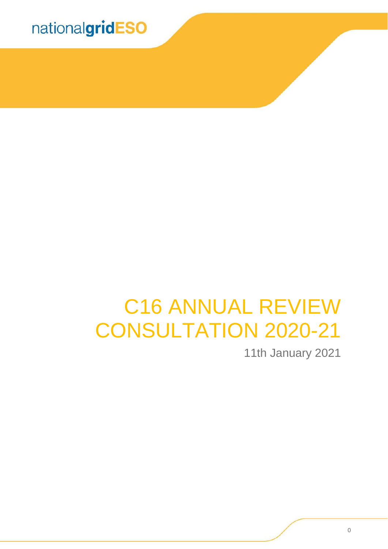

# C16 ANNUAL REVIEW CONSULTATION 2020-21

11th January 2021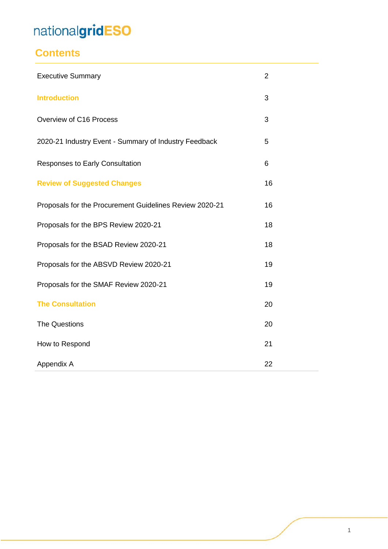### **Contents**

| <b>Executive Summary</b>                                | $\overline{2}$ |
|---------------------------------------------------------|----------------|
| <b>Introduction</b>                                     | 3              |
| Overview of C16 Process                                 | 3              |
| 2020-21 Industry Event - Summary of Industry Feedback   | 5              |
| <b>Responses to Early Consultation</b>                  | 6              |
| <b>Review of Suggested Changes</b>                      | 16             |
| Proposals for the Procurement Guidelines Review 2020-21 | 16             |
| Proposals for the BPS Review 2020-21                    | 18             |
| Proposals for the BSAD Review 2020-21                   | 18             |
| Proposals for the ABSVD Review 2020-21                  | 19             |
| Proposals for the SMAF Review 2020-21                   | 19             |
| <b>The Consultation</b>                                 | 20             |
| The Questions                                           | 20             |
| How to Respond                                          | 21             |
| Appendix A                                              | 22             |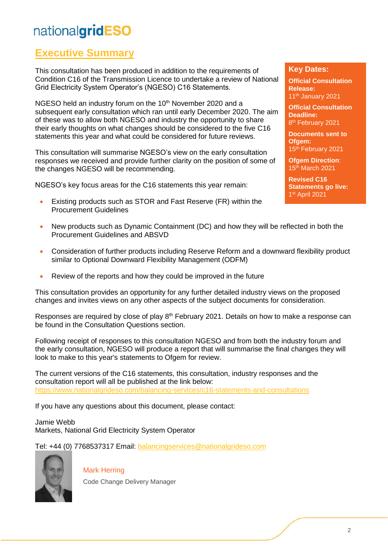### **Executive Summary**

This consultation has been produced in addition to the requirements of Condition C16 of the Transmission Licence to undertake a review of National Grid Electricity System Operator's (NGESO) C16 Statements.

NGESO held an industry forum on the 10<sup>th</sup> November 2020 and a subsequent early consultation which ran until early December 2020. The aim of these was to allow both NGESO and industry the opportunity to share their early thoughts on what changes should be considered to the five C16 statements this year and what could be considered for future reviews.

This consultation will summarise NGESO's view on the early consultation responses we received and provide further clarity on the position of some of the changes NGESO will be recommending.

NGESO's key focus areas for the C16 statements this year remain:

• Existing products such as STOR and Fast Reserve (FR) within the Procurement Guidelines

#### **Key Dates:**

**Official Consultation Release:**  11th January 2021

**Official Consultation Deadline:** 8 th February 2021

**Documents sent to Ofgem:** 15<sup>th</sup> February 2021

**Ofgem Direction**: 15th March 2021

**Revised C16 Statements go live:** 1 st April 2021

- New products such as Dynamic Containment (DC) and how they will be reflected in both the Procurement Guidelines and ABSVD
- Consideration of further products including Reserve Reform and a downward flexibility product similar to Optional Downward Flexibility Management (ODFM)
- Review of the reports and how they could be improved in the future

This consultation provides an opportunity for any further detailed industry views on the proposed changes and invites views on any other aspects of the subject documents for consideration.

Responses are required by close of play 8<sup>th</sup> February 2021. Details on how to make a response can be found in the Consultation Questions section.

Following receipt of responses to this consultation NGESO and from both the industry forum and the early consultation, NGESO will produce a report that will summarise the final changes they will look to make to this year's statements to Ofgem for review.

The current versions of the C16 statements, this consultation, industry responses and the consultation report will all be published at the link below: <https://www.nationalgrideso.com/balancing-services/c16-statements-and-consultations>

If you have any questions about this document, please contact:

Jamie Webb Markets, National Grid Electricity System Operator

Tel: +44 (0) 7768537317 Email: [balancingservices@nationalgrideso.com](mailto:balancingservices@nationalgrideso.com)



Mark Herring Code Change Delivery Manager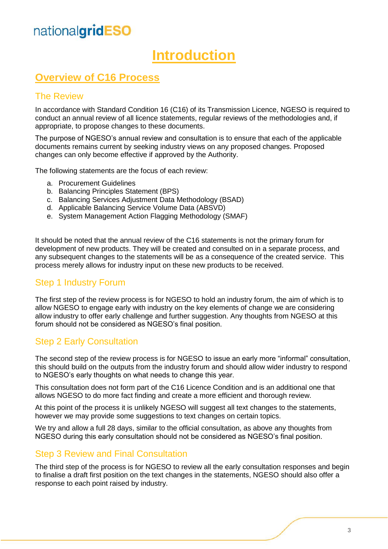## **Introduction**

### **Overview of C16 Process**

#### The Review

In accordance with Standard Condition 16 (C16) of its Transmission Licence, NGESO is required to conduct an annual review of all licence statements, regular reviews of the methodologies and, if appropriate, to propose changes to these documents.

The purpose of NGESO's annual review and consultation is to ensure that each of the applicable documents remains current by seeking industry views on any proposed changes. Proposed changes can only become effective if approved by the Authority.

The following statements are the focus of each review:

- a. Procurement Guidelines
- b. Balancing Principles Statement (BPS)
- c. Balancing Services Adjustment Data Methodology (BSAD)
- d. Applicable Balancing Service Volume Data (ABSVD)
- e. System Management Action Flagging Methodology (SMAF)

It should be noted that the annual review of the C16 statements is not the primary forum for development of new products. They will be created and consulted on in a separate process, and any subsequent changes to the statements will be as a consequence of the created service. This process merely allows for industry input on these new products to be received.

#### Step 1 Industry Forum

The first step of the review process is for NGESO to hold an industry forum, the aim of which is to allow NGESO to engage early with industry on the key elements of change we are considering allow industry to offer early challenge and further suggestion. Any thoughts from NGESO at this forum should not be considered as NGESO's final position.

#### Step 2 Early Consultation

The second step of the review process is for NGESO to issue an early more "informal" consultation, this should build on the outputs from the industry forum and should allow wider industry to respond to NGESO's early thoughts on what needs to change this year.

This consultation does not form part of the C16 Licence Condition and is an additional one that allows NGESO to do more fact finding and create a more efficient and thorough review.

At this point of the process it is unlikely NGESO will suggest all text changes to the statements, however we may provide some suggestions to text changes on certain topics.

We try and allow a full 28 days, similar to the official consultation, as above any thoughts from NGESO during this early consultation should not be considered as NGESO's final position.

#### Step 3 Review and Final Consultation

The third step of the process is for NGESO to review all the early consultation responses and begin to finalise a draft first position on the text changes in the statements, NGESO should also offer a response to each point raised by industry.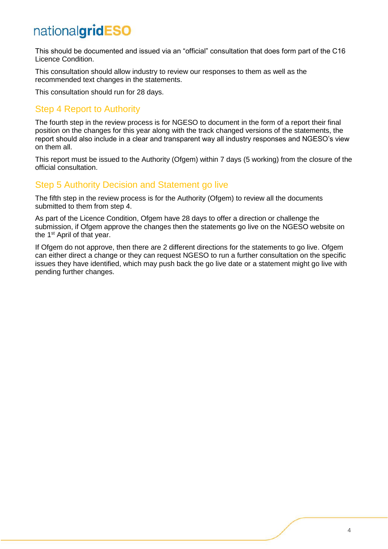This should be documented and issued via an "official" consultation that does form part of the C16 Licence Condition.

This consultation should allow industry to review our responses to them as well as the recommended text changes in the statements.

This consultation should run for 28 days.

#### Step 4 Report to Authority

The fourth step in the review process is for NGESO to document in the form of a report their final position on the changes for this year along with the track changed versions of the statements, the report should also include in a clear and transparent way all industry responses and NGESO's view on them all.

This report must be issued to the Authority (Ofgem) within 7 days (5 working) from the closure of the official consultation.

#### Step 5 Authority Decision and Statement go live

The fifth step in the review process is for the Authority (Ofgem) to review all the documents submitted to them from step 4.

As part of the Licence Condition, Ofgem have 28 days to offer a direction or challenge the submission, if Ofgem approve the changes then the statements go live on the NGESO website on the 1<sup>st</sup> April of that year.

If Ofgem do not approve, then there are 2 different directions for the statements to go live. Ofgem can either direct a change or they can request NGESO to run a further consultation on the specific issues they have identified, which may push back the go live date or a statement might go live with pending further changes.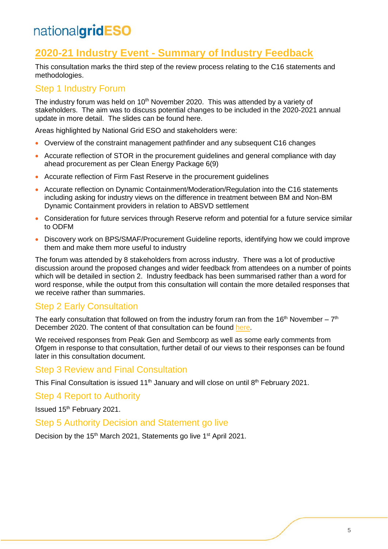### **2020-21 Industry Event - Summary of Industry Feedback**

This consultation marks the third step of the review process relating to the C16 statements and methodologies.

#### Step 1 Industry Forum

The industry forum was held on  $10<sup>th</sup>$  November 2020. This was attended by a variety of stakeholders. The aim was to discuss potential changes to be included in the 2020-2021 annual update in more detail. The slides can be found here.

Areas highlighted by National Grid ESO and stakeholders were:

- Overview of the constraint management pathfinder and any subsequent C16 changes
- Accurate reflection of STOR in the procurement guidelines and general compliance with day ahead procurement as per Clean Energy Package 6(9)
- Accurate reflection of Firm Fast Reserve in the procurement guidelines
- Accurate reflection on Dynamic Containment/Moderation/Regulation into the C16 statements including asking for industry views on the difference in treatment between BM and Non-BM Dynamic Containment providers in relation to ABSVD settlement
- Consideration for future services through Reserve reform and potential for a future service similar to ODFM
- Discovery work on BPS/SMAF/Procurement Guideline reports, identifying how we could improve them and make them more useful to industry

The forum was attended by 8 stakeholders from across industry. There was a lot of productive discussion around the proposed changes and wider feedback from attendees on a number of points which will be detailed in section 2. Industry feedback has been summarised rather than a word for word response, while the output from this consultation will contain the more detailed responses that we receive rather than summaries.

### Step 2 Early Consultation

The early consultation that followed on from the industry forum ran from the 16<sup>th</sup> November –  $7<sup>th</sup>$ December 2020. The content of that consultation can be found [here.](https://www.nationalgrideso.com/document/180771/download)

We received responses from Peak Gen and Sembcorp as well as some early comments from Ofgem in response to that consultation, further detail of our views to their responses can be found later in this consultation document.

#### Step 3 Review and Final Consultation

This Final Consultation is issued 11<sup>th</sup> January and will close on until 8<sup>th</sup> February 2021.

Step 4 Report to Authority

Issued 15<sup>th</sup> February 2021.

#### Step 5 Authority Decision and Statement go live

Decision by the 15<sup>th</sup> March 2021, Statements go live 1<sup>st</sup> April 2021.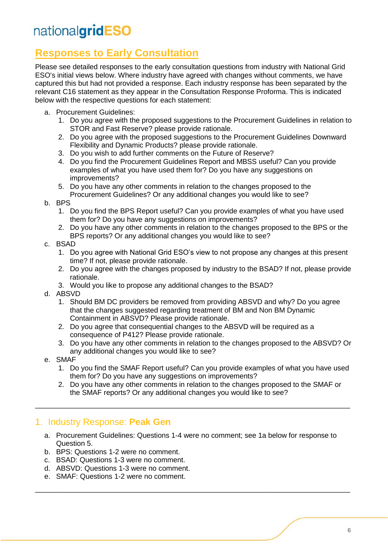### **Responses to Early Consultation**

Please see detailed responses to the early consultation questions from industry with National Grid ESO's initial views below. Where industry have agreed with changes without comments, we have captured this but had not provided a response. Each industry response has been separated by the relevant C16 statement as they appear in the Consultation Response Proforma. This is indicated below with the respective questions for each statement:

- a. Procurement Guidelines:
	- 1. Do you agree with the proposed suggestions to the Procurement Guidelines in relation to STOR and Fast Reserve? please provide rationale.
	- 2. Do you agree with the proposed suggestions to the Procurement Guidelines Downward Flexibility and Dynamic Products? please provide rationale.
	- 3. Do you wish to add further comments on the Future of Reserve?
	- 4. Do you find the Procurement Guidelines Report and MBSS useful? Can you provide examples of what you have used them for? Do you have any suggestions on improvements?
	- 5. Do you have any other comments in relation to the changes proposed to the Procurement Guidelines? Or any additional changes you would like to see?
- b. BPS
	- 1. Do you find the BPS Report useful? Can you provide examples of what you have used them for? Do you have any suggestions on improvements?
	- 2. Do you have any other comments in relation to the changes proposed to the BPS or the BPS reports? Or any additional changes you would like to see?
- c. BSAD
	- 1. Do you agree with National Grid ESO's view to not propose any changes at this present time? If not, please provide rationale.
	- 2. Do you agree with the changes proposed by industry to the BSAD? If not, please provide rationale.
	- 3. Would you like to propose any additional changes to the BSAD?
- d. ABSVD
	- 1. Should BM DC providers be removed from providing ABSVD and why? Do you agree that the changes suggested regarding treatment of BM and Non BM Dynamic Containment in ABSVD? Please provide rationale.
	- 2. Do you agree that consequential changes to the ABSVD will be required as a consequence of P412? Please provide rationale.
	- 3. Do you have any other comments in relation to the changes proposed to the ABSVD? Or any additional changes you would like to see?
- e. SMAF
	- 1. Do you find the SMAF Report useful? Can you provide examples of what you have used them for? Do you have any suggestions on improvements?
	- 2. Do you have any other comments in relation to the changes proposed to the SMAF or the SMAF reports? Or any additional changes you would like to see?

#### 1. Industry Response: **Peak Gen**

a. Procurement Guidelines: Questions 1-4 were no comment; see 1a below for response to Question 5.

\_\_\_\_\_\_\_\_\_\_\_\_\_\_\_\_\_\_\_\_\_\_\_\_\_\_\_\_\_\_\_\_\_\_\_\_\_\_\_\_\_\_\_\_\_\_\_\_\_\_\_\_\_\_\_\_\_\_\_\_\_\_\_\_\_\_\_\_\_\_\_\_\_\_\_\_\_\_\_

\_\_\_\_\_\_\_\_\_\_\_\_\_\_\_\_\_\_\_\_\_\_\_\_\_\_\_\_\_\_\_\_\_\_\_\_\_\_\_\_\_\_\_\_\_\_\_\_\_\_\_\_\_\_\_\_\_\_\_\_\_\_\_\_\_\_\_\_\_\_\_\_\_\_\_\_\_\_\_

- b. BPS: Questions 1-2 were no comment.
- c. BSAD: Questions 1-3 were no comment.
- d. ABSVD: Questions 1-3 were no comment.
- e. SMAF: Questions 1-2 were no comment.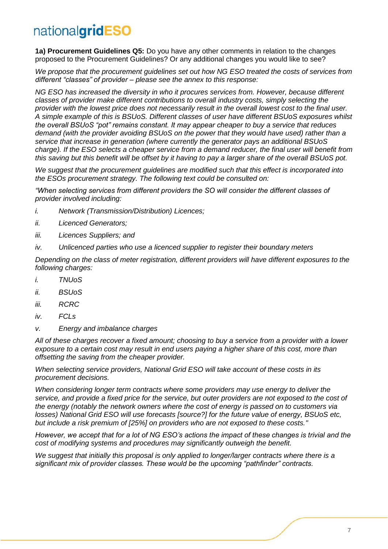**1a) Procurement Guidelines Q5:** Do you have any other comments in relation to the changes proposed to the Procurement Guidelines? Or any additional changes you would like to see?

*We propose that the procurement guidelines set out how NG ESO treated the costs of services from different "classes" of provider – please see the annex to this response:*

*NG ESO has increased the diversity in who it procures services from. However, because different classes of provider make different contributions to overall industry costs, simply selecting the provider with the lowest price does not necessarily result in the overall lowest cost to the final user. A simple example of this is BSUoS. Different classes of user have different BSUoS exposures whilst the overall BSUoS "pot" remains constant. It may appear cheaper to buy a service that reduces demand (with the provider avoiding BSUoS on the power that they would have used) rather than a service that increase in generation (where currently the generator pays an additional BSUoS charge). If the ESO selects a cheaper service from a demand reducer, the final user will benefit from this saving but this benefit will be offset by it having to pay a larger share of the overall BSUoS pot.*

*We suggest that the procurement guidelines are modified such that this effect is incorporated into the ESOs procurement strategy. The following text could be consulted on:*

*"When selecting services from different providers the SO will consider the different classes of provider involved including:*

- *i. Network (Transmission/Distribution) Licences;*
- *ii. Licenced Generators;*
- *iii. Licences Suppliers; and*
- *iv. Unlicenced parties who use a licenced supplier to register their boundary meters*

*Depending on the class of meter registration, different providers will have different exposures to the following charges:*

- *i. TNUoS*
- *ii. BSUoS*
- *iii. RCRC*
- *iv. FCLs*
- *v. Energy and imbalance charges*

*All of these charges recover a fixed amount; choosing to buy a service from a provider with a lower exposure to a certain cost may result in end users paying a higher share of this cost, more than offsetting the saving from the cheaper provider.*

*When selecting service providers, National Grid ESO will take account of these costs in its procurement decisions.*

*When considering longer term contracts where some providers may use energy to deliver the service, and provide a fixed price for the service, but outer providers are not exposed to the cost of the energy (notably the network owners where the cost of energy is passed on to customers via losses) National Grid ESO will use forecasts [source?] for the future value of energy, BSUoS etc, but include a risk premium of [25%] on providers who are not exposed to these costs."*

*However, we accept that for a lot of NG ESO's actions the impact of these changes is trivial and the cost of modifying systems and procedures may significantly outweigh the benefit.* 

*We suggest that initially this proposal is only applied to longer/larger contracts where there is a significant mix of provider classes. These would be the upcoming "pathfinder" contracts.*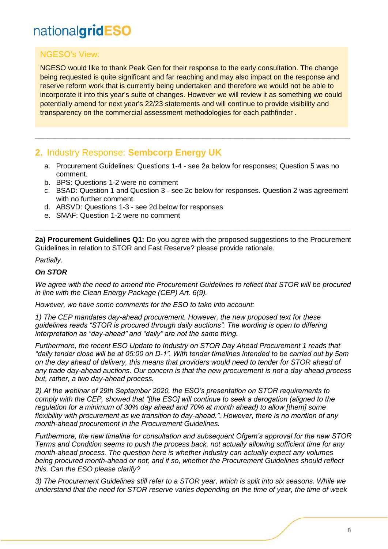#### NGESO's View:

NGESO would like to thank Peak Gen for their response to the early consultation. The change being requested is quite significant and far reaching and may also impact on the response and reserve reform work that is currently being undertaken and therefore we would not be able to incorporate it into this year's suite of changes. However we will review it as something we could potentially amend for next year's 22/23 statements and will continue to provide visibility and transparency on the commercial assessment methodologies for each pathfinder .

#### **2.** Industry Response: **Sembcorp Energy UK**

a. Procurement Guidelines: Questions 1-4 - see 2a below for responses; Question 5 was no comment.

\_\_\_\_\_\_\_\_\_\_\_\_\_\_\_\_\_\_\_\_\_\_\_\_\_\_\_\_\_\_\_\_\_\_\_\_\_\_\_\_\_\_\_\_\_\_\_\_\_\_\_\_\_\_\_\_\_\_\_\_\_\_\_\_\_\_\_\_\_\_\_\_\_\_\_\_\_\_\_

- b. BPS: Questions 1-2 were no comment
- c. BSAD: Question 1 and Question 3 see 2c below for responses. Question 2 was agreement with no further comment.
- d. ABSVD: Questions 1-3 see 2d below for responses
- e. SMAF: Question 1-2 were no comment

**2a) Procurement Guidelines Q1:** Do you agree with the proposed suggestions to the Procurement Guidelines in relation to STOR and Fast Reserve? please provide rationale.

\_\_\_\_\_\_\_\_\_\_\_\_\_\_\_\_\_\_\_\_\_\_\_\_\_\_\_\_\_\_\_\_\_\_\_\_\_\_\_\_\_\_\_\_\_\_\_\_\_\_\_\_\_\_\_\_\_\_\_\_\_\_\_\_\_\_\_\_\_\_\_\_\_\_\_\_\_\_\_

#### *Partially.*

#### *On STOR*

*We agree with the need to amend the Procurement Guidelines to reflect that STOR will be procured in line with the Clean Energy Package (CEP) Art. 6(9).* 

*However, we have some comments for the ESO to take into account:* 

*1) The CEP mandates day-ahead procurement. However, the new proposed text for these guidelines reads "STOR is procured through daily auctions". The wording is open to differing interpretation as "day-ahead" and "daily" are not the same thing.* 

*Furthermore, the recent ESO Update to Industry on STOR Day Ahead Procurement 1 reads that "daily tender close will be at 05:00 on D-1". With tender timelines intended to be carried out by 5am on the day ahead of delivery, this means that providers would need to tender for STOR ahead of any trade day-ahead auctions. Our concern is that the new procurement is not a day ahead process but, rather, a two day-ahead process.*

*2) At the webinar of 29th September 2020, the ESO's presentation on STOR requirements to comply with the CEP, showed that "[the ESO] will continue to seek a derogation (aligned to the regulation for a minimum of 30% day ahead and 70% at month ahead) to allow [them] some flexibility with procurement as we transition to day-ahead.". However, there is no mention of any month-ahead procurement in the Procurement Guidelines.*

*Furthermore, the new timeline for consultation and subsequent Ofgem's approval for the new STOR Terms and Condition seems to push the process back, not actually allowing sufficient time for any month-ahead process. The question here is whether industry can actually expect any volumes being procured month-ahead or not; and if so, whether the Procurement Guidelines should reflect this. Can the ESO please clarify?*

*3) The Procurement Guidelines still refer to a STOR year, which is split into six seasons. While we understand that the need for STOR reserve varies depending on the time of year, the time of week*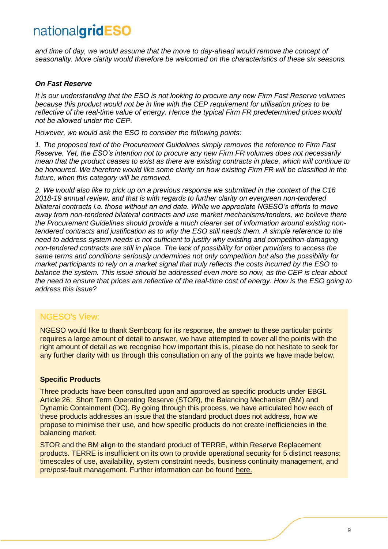*and time of day, we would assume that the move to day-ahead would remove the concept of seasonality. More clarity would therefore be welcomed on the characteristics of these six seasons.*

#### *On Fast Reserve*

*It is our understanding that the ESO is not looking to procure any new Firm Fast Reserve volumes because this product would not be in line with the CEP requirement for utilisation prices to be reflective of the real-time value of energy. Hence the typical Firm FR predetermined prices would not be allowed under the CEP.* 

*However, we would ask the ESO to consider the following points:*

*1. The proposed text of the Procurement Guidelines simply removes the reference to Firm Fast Reserve. Yet, the ESO's intention not to procure any new Firm FR volumes does not necessarily mean that the product ceases to exist as there are existing contracts in place, which will continue to*  be honoured. We therefore would like some clarity on how existing Firm FR will be classified in the *future, when this category will be removed.* 

*2. We would also like to pick up on a previous response we submitted in the context of the C16 2018-19 annual review, and that is with regards to further clarity on evergreen non-tendered bilateral contracts i.e. those without an end date. While we appreciate NGESO's efforts to move away from non-tendered bilateral contracts and use market mechanisms/tenders, we believe there the Procurement Guidelines should provide a much clearer set of information around existing nontendered contracts and justification as to why the ESO still needs them. A simple reference to the need to address system needs is not sufficient to justify why existing and competition-damaging non-tendered contracts are still in place. The lack of possibility for other providers to access the same terms and conditions seriously undermines not only competition but also the possibility for market participants to rely on a market signal that truly reflects the costs incurred by the ESO to balance the system. This issue should be addressed even more so now, as the CEP is clear about the need to ensure that prices are reflective of the real-time cost of energy. How is the ESO going to address this issue?*

#### NGESO's View:

NGESO would like to thank Sembcorp for its response, the answer to these particular points requires a large amount of detail to answer, we have attempted to cover all the points with the right amount of detail as we recognise how important this is, please do not hesitate to seek for any further clarity with us through this consultation on any of the points we have made below.

#### **Specific Products**

Three products have been consulted upon and approved as specific products under EBGL Article 26; Short Term Operating Reserve (STOR), the Balancing Mechanism (BM) and Dynamic Containment (DC). By going through this process, we have articulated how each of these products addresses an issue that the standard product does not address, how we propose to minimise their use, and how specific products do not create inefficiencies in the balancing market.

STOR and the BM align to the standard product of TERRE, within Reserve Replacement products. TERRE is insufficient on its own to provide operational security for 5 distinct reasons: timescales of use, availability, system constraint needs, business continuity management, and pre/post-fault management. Further information can be found [here.](https://www.nationalgrideso.com/document/183376/download)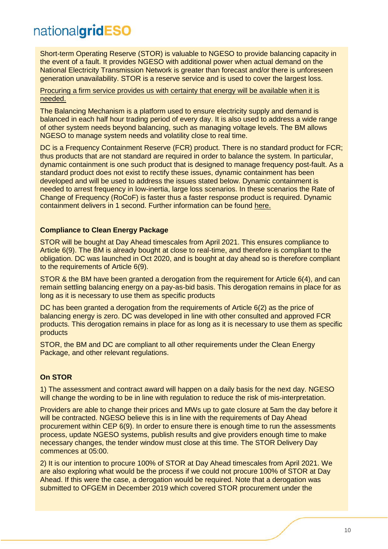Short-term Operating Reserve (STOR) is valuable to NGESO to provide balancing capacity in the event of a fault. It provides NGESO with additional power when actual demand on the National Electricity Transmission Network is greater than forecast and/or there is unforeseen generation unavailability. STOR is a reserve service and is used to cover the largest loss.

#### Procuring a firm service provides us with certainty that energy will be available when it is needed.

The Balancing Mechanism is a platform used to ensure electricity supply and demand is balanced in each half hour trading period of every day. It is also used to address a wide range of other system needs beyond balancing, such as managing voltage levels. The BM allows NGESO to manage system needs and volatility close to real time.

DC is a Frequency Containment Reserve (FCR) product. There is no standard product for FCR; thus products that are not standard are required in order to balance the system. In particular, dynamic containment is one such product that is designed to manage frequency post-fault. As a standard product does not exist to rectify these issues, dynamic containment has been developed and will be used to address the issues stated below. Dynamic containment is needed to arrest frequency in low-inertia, large loss scenarios. In these scenarios the Rate of Change of Frequency (RoCoF) is faster thus a faster response product is required. Dynamic containment delivers in 1 second. Further information can be found [here.](https://www.nationalgrideso.com/document/183371/download)

#### **Compliance to Clean Energy Package**

STOR will be bought at Day Ahead timescales from April 2021. This ensures compliance to Article 6(9). The BM is already bought at close to real-time, and therefore is compliant to the obligation. DC was launched in Oct 2020, and is bought at day ahead so is therefore compliant to the requirements of Article 6(9).

STOR & the BM have been granted a derogation from the requirement for Article 6(4), and can remain settling balancing energy on a pay-as-bid basis. This derogation remains in place for as long as it is necessary to use them as specific products

DC has been granted a derogation from the requirements of Article 6(2) as the price of balancing energy is zero. DC was developed in line with other consulted and approved FCR products. This derogation remains in place for as long as it is necessary to use them as specific products

STOR, the BM and DC are compliant to all other requirements under the Clean Energy Package, and other relevant regulations.

#### **On STOR**

1) The assessment and contract award will happen on a daily basis for the next day. NGESO will change the wording to be in line with regulation to reduce the risk of mis-interpretation.

Providers are able to change their prices and MWs up to gate closure at 5am the day before it will be contracted. NGESO believe this is in line with the requirements of Day Ahead procurement within CEP 6(9). In order to ensure there is enough time to run the assessments process, update NGESO systems, publish results and give providers enough time to make necessary changes, the tender window must close at this time. The STOR Delivery Day commences at 05:00.

2) It is our intention to procure 100% of STOR at Day Ahead timescales from April 2021. We are also exploring what would be the process if we could not procure 100% of STOR at Day Ahead. If this were the case, a derogation would be required. Note that a derogation was submitted to OFGEM in December 2019 which covered STOR procurement under the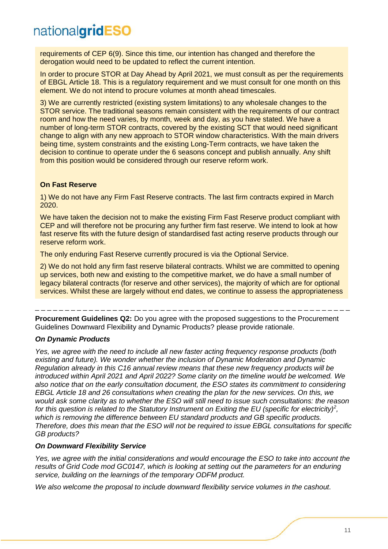requirements of CEP 6(9). Since this time, our intention has changed and therefore the derogation would need to be updated to reflect the current intention.

In order to procure STOR at Day Ahead by April 2021, we must consult as per the requirements of EBGL Article 18. This is a regulatory requirement and we must consult for one month on this element. We do not intend to procure volumes at month ahead timescales.

3) We are currently restricted (existing system limitations) to any wholesale changes to the STOR service. The traditional seasons remain consistent with the requirements of our contract room and how the need varies, by month, week and day, as you have stated. We have a number of long-term STOR contracts, covered by the existing SCT that would need significant change to align with any new approach to STOR window characteristics. With the main drivers being time, system constraints and the existing Long-Term contracts, we have taken the decision to continue to operate under the 6 seasons concept and publish annually. Any shift from this position would be considered through our reserve reform work.

#### **On Fast Reserve**

1) We do not have any Firm Fast Reserve contracts. The last firm contracts expired in March 2020.

We have taken the decision not to make the existing Firm Fast Reserve product compliant with CEP and will therefore not be procuring any further firm fast reserve. We intend to look at how fast reserve fits with the future design of standardised fast acting reserve products through our reserve reform work.

The only enduring Fast Reserve currently procured is via the Optional Service.

2) We do not hold any firm fast reserve bilateral contracts. Whilst we are committed to opening up services, both new and existing to the competitive market, we do have a small number of legacy bilateral contracts (for reserve and other services), the majority of which are for optional services. Whilst these are largely without end dates, we continue to assess the appropriateness

\_ \_ \_ \_ \_ \_ \_ \_ \_ \_ \_ \_ \_ \_ \_ \_ \_ \_ \_ \_ \_ \_ \_ \_ \_ \_ \_ \_ \_ \_ \_ \_ \_ \_ \_ \_ \_ \_ \_ \_ \_ \_ \_ \_ \_ \_ \_ \_ \_ \_ \_ \_ \_ support) as a consequential benefit of the individual service, which remains an attractive option  $\alpha$ 

**Procurement Guidelines Q2:** Do you agree with the proposed suggestions to the Procurement The animitive Canadinical Carriers (Sangled Minited, proposed suggestions to the Thesarchited, non-tendered bi<br>Guidelines Downward Flexibility and Dynamic Products? please provide rationale. algomios Bommara i Toxiom

#### *On Dynamic Products*

*Yes, we agree with the need to include all new faster acting frequency response products (both existing and future). We wonder whether the inclusion of Dynamic Moderation and Dynamic Regulation already in this C16 annual review means that these new frequency products will be introduced within April 2021 and April 2022? Some clarity on the timeline would be welcomed. We also notice that on the early consultation document, the ESO states its commitment to considering EBGL Article 18 and 26 consultations when creating the plan for the new services. On this, we would ask some clarity as to whether the ESO will still need to issue such consultations: the reason for this question is related to the Statutory Instrument on Exiting the EU (specific for electricity)<sup>2</sup> , which is removing the difference between EU standard products and GB specific products. Therefore, does this mean that the ESO will not be required to issue EBGL consultations for specific GB products?* 

#### *On Downward Flexibility Service*

*Yes, we agree with the initial considerations and would encourage the ESO to take into account the results of Grid Code mod GC0147, which is looking at setting out the parameters for an enduring service, building on the learnings of the temporary ODFM product.* 

*We also welcome the proposal to include downward flexibility service volumes in the cashout.*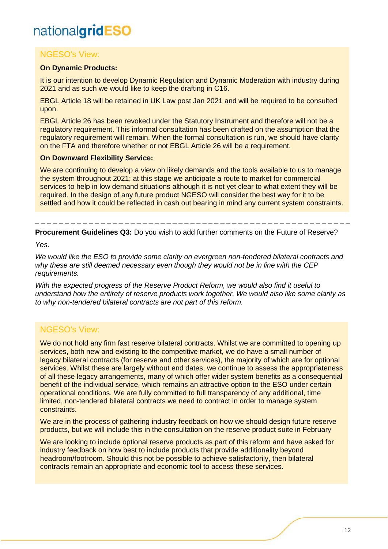#### NGESO's View:

#### **On Dynamic Products:**

It is our intention to develop Dynamic Regulation and Dynamic Moderation with industry during 2021 and as such we would like to keep the drafting in C16.

EBGL Article 18 will be retained in UK Law post Jan 2021 and will be required to be consulted upon.

EBGL Article 26 has been revoked under the Statutory Instrument and therefore will not be a regulatory requirement. This informal consultation has been drafted on the assumption that the regulatory requirement will remain. When the formal consultation is run, we should have clarity on the FTA and therefore whether or not EBGL Article 26 will be a requirement.

#### **On Downward Flexibility Service:**

We are continuing to develop a view on likely demands and the tools available to us to manage the system throughout 2021; at this stage we anticipate a route to market for commercial services to help in low demand situations although it is not yet clear to what extent they will be required. In the design of any future product NGESO will consider the best way for it to be settled and how it could be reflected in cash out bearing in mind any current system constraints.

**Procurement Guidelines Q3:** Do you wish to add further comments on the Future of Reserve?

\_ \_ \_ \_ \_ \_ \_ \_ \_ \_ \_ \_ \_ \_ \_ \_ \_ \_ \_ \_ \_ \_ \_ \_ \_ \_ \_ \_ \_ \_ \_ \_ \_ \_ \_ \_ \_ \_ \_ \_ \_ \_ \_ \_ \_ \_ \_ \_ \_ \_ \_ \_ \_

*Yes.* 

*We would like the ESO to provide some clarity on evergreen non-tendered bilateral contracts and why these are still deemed necessary even though they would not be in line with the CEP requirements.* 

*With the expected progress of the Reserve Product Reform, we would also find it useful to understand how the entirety of reserve products work together. We would also like some clarity as to why non-tendered bilateral contracts are not part of this reform.*

#### NGESO's View:

We do not hold any firm fast reserve bilateral contracts. Whilst we are committed to opening up services, both new and existing to the competitive market, we do have a small number of legacy bilateral contracts (for reserve and other services), the majority of which are for optional services. Whilst these are largely without end dates, we continue to assess the appropriateness of all these legacy arrangements, many of which offer wider system benefits as a consequential benefit of the individual service, which remains an attractive option to the ESO under certain operational conditions. We are fully committed to full transparency of any additional, time limited, non-tendered bilateral contracts we need to contract in order to manage system constraints.

We are in the process of gathering industry feedback on how we should design future reserve products, but we will include this in the consultation on the reserve product suite in February

We are looking to include optional reserve products as part of this reform and have asked for industry feedback on how best to include products that provide additionality beyond headroom/footroom. Should this not be possible to achieve satisfactorily, then bilateral contracts remain an appropriate and economic tool to access these services.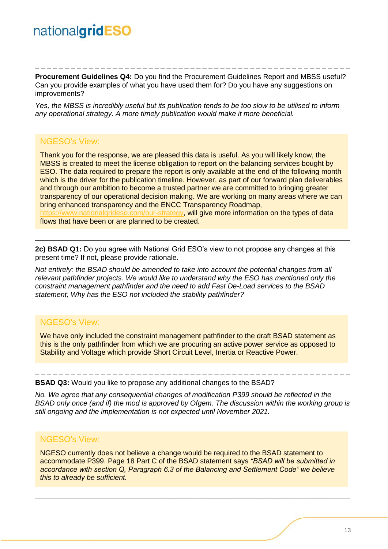**Procurement Guidelines Q4:** Do you find the Procurement Guidelines Report and MBSS useful? Can you provide examples of what you have used them for? Do you have any suggestions on improvements?

\_ \_ \_ \_ \_ \_ \_ \_ \_ \_ \_ \_ \_ \_ \_ \_ \_ \_ \_ \_ \_ \_ \_ \_ \_ \_ \_ \_ \_ \_ \_ \_ \_ \_ \_ \_ \_ \_ \_ \_ \_ \_ \_ \_ \_ \_ \_ \_ \_ \_ \_ \_ \_

*Yes, the MBSS is incredibly useful but its publication tends to be too slow to be utilised to inform any operational strategy. A more timely publication would make it more beneficial.*

#### NGESO's View:

Thank you for the response, we are pleased this data is useful. As you will likely know, the MBSS is created to meet the license obligation to report on the balancing services bought by ESO. The data required to prepare the report is only available at the end of the following month which is the driver for the publication timeline. However, as part of our forward plan deliverables and through our ambition to become a trusted partner we are committed to bringing greater transparency of our operational decision making. We are working on many areas where we can bring enhanced transparency and the ENCC Transparency Roadmap,

[https://www.nationalgrideso.com/our-strategy,](https://www.nationalgrideso.com/our-strategy) will give more information on the types of data flows that have been or are planned to be created.

\_\_\_\_\_\_\_\_\_\_\_\_\_\_\_\_\_\_\_\_\_\_\_\_\_\_\_\_\_\_\_\_\_\_\_\_\_\_\_\_\_\_\_\_\_\_\_\_\_\_\_\_\_\_\_\_\_\_\_\_\_\_\_\_\_\_\_\_\_\_\_\_\_\_\_\_\_\_\_

**2c) BSAD Q1:** Do you agree with National Grid ESO's view to not propose any changes at this present time? If not, please provide rationale.

*Not entirely: the BSAD should be amended to take into account the potential changes from all relevant pathfinder projects. We would like to understand why the ESO has mentioned only the constraint management pathfinder and the need to add Fast De-Load services to the BSAD statement; Why has the ESO not included the stability pathfinder?* 

#### NGESO's View:

We have only included the constraint management pathfinder to the draft BSAD statement as this is the only pathfinder from which we are procuring an active power service as opposed to Stability and Voltage which provide Short Circuit Level, Inertia or Reactive Power.

**BSAD Q3:** Would you like to propose any additional changes to the BSAD?

*No. We agree that any consequential changes of modification P399 should be reflected in the BSAD only once (and if) the mod is approved by Ofgem. The discussion within the working group is still ongoing and the implementation is not expected until November 2021.*

\_ \_ \_ \_ \_ \_ \_ \_ \_ \_ \_ \_ \_ \_ \_ \_ \_ \_ \_ \_ \_ \_ \_ \_ \_ \_ \_ \_ \_ \_ \_ \_ \_ \_ \_ \_ \_ \_ \_ \_ \_ \_ \_ \_ \_ \_ \_ \_ \_ \_ \_ \_ \_

#### NGESO's View:

NGESO currently does not believe a change would be required to the BSAD statement to accommodate P399. Page 18 Part C of the BSAD statement says *"BSAD will be submitted in accordance with section Q, Paragraph 6.3 of the Balancing and Settlement Code" we believe this to already be sufficient.*

\_\_\_\_\_\_\_\_\_\_\_\_\_\_\_\_\_\_\_\_\_\_\_\_\_\_\_\_\_\_\_\_\_\_\_\_\_\_\_\_\_\_\_\_\_\_\_\_\_\_\_\_\_\_\_\_\_\_\_\_\_\_\_\_\_\_\_\_\_\_\_\_\_\_\_\_\_\_\_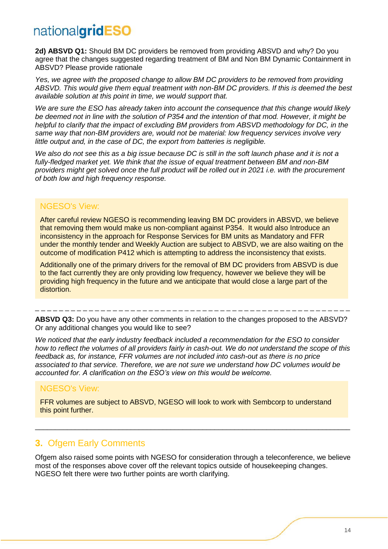2d) ABSVD Q1: Should BM DC providers be removed from providing ABSVD and why? Do you agree that the changes suggested regarding treatment of BM and Non BM Dynamic Containment in ABSVD? Please provide rationale

*Yes, we agree with the proposed change to allow BM DC providers to be removed from providing ABSVD. This would give them equal treatment with non-BM DC providers. If this is deemed the best available solution at this point in time, we would support that.* 

*We are sure the ESO has already taken into account the consequence that this change would likely be deemed not in line with the solution of P354 and the intention of that mod. However, it might be helpful to clarify that the impact of excluding BM providers from ABSVD methodology for DC, in the same way that non-BM providers are, would not be material: low frequency services involve very little output and, in the case of DC, the export from batteries is negligible.* 

*We also do not see this as a big issue because DC is still in the soft launch phase and it is not a fully-fledged market yet. We think that the issue of equal treatment between BM and non-BM providers might get solved once the full product will be rolled out in 2021 i.e. with the procurement of both low and high frequency response.*

#### NGESO's View:

After careful review NGESO is recommending leaving BM DC providers in ABSVD, we believe that removing them would make us non-compliant against P354. It would also Introduce an inconsistency in the approach for Response Services for BM units as Mandatory and FFR under the monthly tender and Weekly Auction are subject to ABSVD, we are also waiting on the outcome of modification P412 which is attempting to address the inconsistency that exists.

Additionally one of the primary drivers for the removal of BM DC providers from ABSVD is due to the fact currently they are only providing low frequency, however we believe they will be providing high frequency in the future and we anticipate that would close a large part of the distortion.

**ABSVD Q3:** Do you have any other comments in relation to the changes proposed to the ABSVD? Or any additional changes you would like to see?

\_ \_ \_ \_ \_ \_ \_ \_ \_ \_ \_ \_ \_ \_ \_ \_ \_ \_ \_ \_ \_ \_ \_ \_ \_ \_ \_ \_ \_ \_ \_ \_ \_ \_ \_ \_ \_ \_ \_ \_ \_ \_ \_ \_ \_ \_ \_ \_ \_ \_ \_ \_ \_

*We noticed that the early industry feedback included a recommendation for the ESO to consider how to reflect the volumes of all providers fairly in cash-out. We do not understand the scope of this feedback as, for instance, FFR volumes are not included into cash-out as there is no price associated to that service. Therefore, we are not sure we understand how DC volumes would be accounted for. A clarification on the ESO's view on this would be welcome.*

#### NGESO's View:

FFR volumes are subject to ABSVD, NGESO will look to work with Sembcorp to understand this point further.

#### **3.** Ofgem Early Comments

Ofgem also raised some points with NGESO for consideration through a teleconference, we believe most of the responses above cover off the relevant topics outside of housekeeping changes. NGESO felt there were two further points are worth clarifying.

\_\_\_\_\_\_\_\_\_\_\_\_\_\_\_\_\_\_\_\_\_\_\_\_\_\_\_\_\_\_\_\_\_\_\_\_\_\_\_\_\_\_\_\_\_\_\_\_\_\_\_\_\_\_\_\_\_\_\_\_\_\_\_\_\_\_\_\_\_\_\_\_\_\_\_\_\_\_\_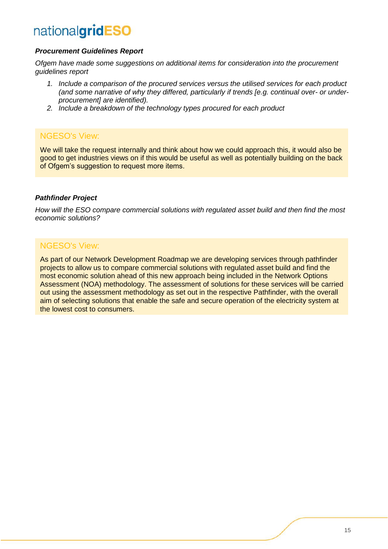#### *Procurement Guidelines Report*

*Ofgem have made some suggestions on additional items for consideration into the procurement guidelines report*

- *1. Include a comparison of the procured services versus the utilised services for each product (and some narrative of why they differed, particularly if trends [e.g. continual over- or underprocurement] are identified).*
- *2. Include a breakdown of the technology types procured for each product*

#### NGESO's View:

We will take the request internally and think about how we could approach this, it would also be good to get industries views on if this would be useful as well as potentially building on the back of Ofgem's suggestion to request more items.

#### *Pathfinder Project*

*How will the ESO compare commercial solutions with regulated asset build and then find the most economic solutions?*

#### NGESO's View:

As part of our Network Development Roadmap we are developing services through pathfinder projects to allow us to compare commercial solutions with regulated asset build and find the most economic solution ahead of this new approach being included in the Network Options Assessment (NOA) methodology. The assessment of solutions for these services will be carried out using the assessment methodology as set out in the respective Pathfinder, with the overall aim of selecting solutions that enable the safe and secure operation of the electricity system at the lowest cost to consumers.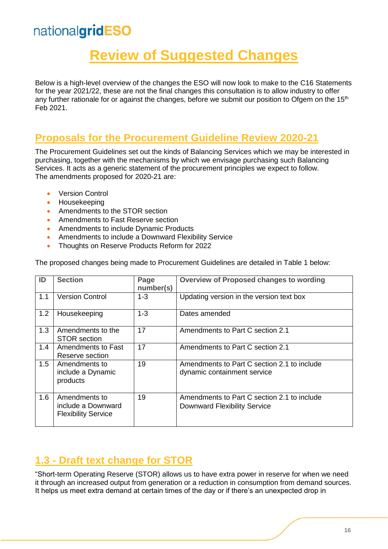## **Review of Suggested Changes**

Below is a high-level overview of the changes the ESO will now look to make to the C16 Statements for the year 2021/22, these are not the final changes this consultation is to allow industry to offer any further rationale for or against the changes, before we submit our position to Ofgem on the 15<sup>th</sup> Feb 2021.

### **Proposals for the Procurement Guideline Review 2020-21**

The Procurement Guidelines set out the kinds of Balancing Services which we may be interested in purchasing, together with the mechanisms by which we envisage purchasing such Balancing Services. It acts as a generic statement of the procurement principles we expect to follow. The amendments proposed for 2020-21 are:

- **Version Control**
- Housekeeping
- Amendments to the STOR section
- Amendments to Fast Reserve section
- Amendments to include Dynamic Products
- Amendments to include a Downward Flexibility Service
- Thoughts on Reserve Products Reform for 2022

|  |  |  | The proposed changes being made to Procurement Guidelines are detailed in Table 1 below: |
|--|--|--|------------------------------------------------------------------------------------------|
|  |  |  |                                                                                          |

| ID  | <b>Section</b>                                                    | Page<br>number(s) | Overview of Proposed changes to wording                                     |
|-----|-------------------------------------------------------------------|-------------------|-----------------------------------------------------------------------------|
| 1.1 | <b>Version Control</b>                                            | $1 - 3$           | Updating version in the version text box                                    |
| 1.2 | Housekeeping                                                      | $1 - 3$           | Dates amended                                                               |
| 1.3 | Amendments to the<br><b>STOR</b> section                          | 17                | Amendments to Part C section 2.1                                            |
| 1.4 | Amendments to Fast<br>Reserve section                             | 17                | Amendments to Part C section 2.1                                            |
| 1.5 | Amendments to<br>include a Dynamic<br>products                    | 19                | Amendments to Part C section 2.1 to include<br>dynamic containment service  |
| 1.6 | Amendments to<br>include a Downward<br><b>Flexibility Service</b> | 19                | Amendments to Part C section 2.1 to include<br>Downward Flexibility Service |

### **1.3 - Draft text change for STOR**

"Short-term Operating Reserve (STOR) allows us to have extra power in reserve for when we need it through an increased output from generation or a reduction in consumption from demand sources. It helps us meet extra demand at certain times of the day or if there's an unexpected drop in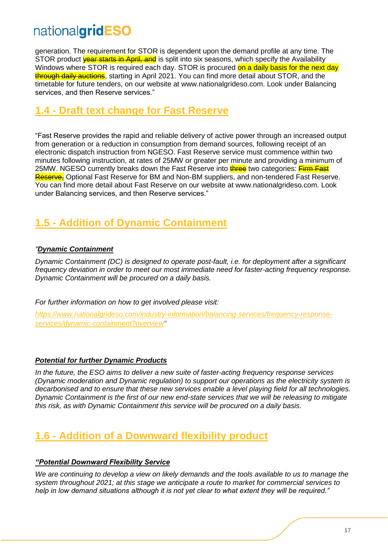generation. The requirement for STOR is dependent upon the demand profile at any time. The STOR product **year starts in April, and** is split into six seasons, which specify the Availability Windows where STOR is required each day. STOR is procured on a daily basis for the next day through daily auctions, starting in April 2021. You can find more detail about STOR, and the timetable for future tenders, on our website at www.nationalgrideso.com. Look under Balancing services, and then Reserve services."

### **1.4 - Draft text change for Fast Reserve**

"Fast Reserve provides the rapid and reliable delivery of active power through an increased output from generation or a reduction in consumption from demand sources, following receipt of an electronic dispatch instruction from NGESO. Fast Reserve service must commence within two minutes following instruction, at rates of 25MW or greater per minute and providing a minimum of 25MW. NGESO currently breaks down the Fast Reserve into **three** two categories: Firm Fast Reserve, Optional Fast Reserve for BM and Non-BM suppliers, and non-tendered Fast Reserve. You can find more detail about Fast Reserve on our website at www.nationalgrideso.com. Look under Balancing services, and then Reserve services."

### **1.5 - Addition of Dynamic Containment**

#### *"Dynamic Containment*

*Dynamic Containment (DC) is designed to operate post-fault, i.e. for deployment after a significant frequency deviation in order to meet our most immediate need for faster-acting frequency response. Dynamic Containment will be procured on a daily basis.*

*For further information on how to get involved please visit:*

*[https://www.nationalgrideso.com/industry-information/balancing-services/frequency-response](https://www.nationalgrideso.com/industry-information/balancing-services/frequency-response-services/dynamic-containment?overview)[services/dynamic-containment?overview"](https://www.nationalgrideso.com/industry-information/balancing-services/frequency-response-services/dynamic-containment?overview)*

#### *Potential for further Dynamic Products*

*In the future, the ESO aims to deliver a new suite of faster-acting frequency response services (Dynamic moderation and Dynamic regulation) to support our operations as the electricity system is decarbonised and to ensure that these new services enable a level playing field for all technologies. Dynamic Containment is the first of our new end-state services that we will be releasing to mitigate this risk, as with Dynamic Containment this service will be procured on a daily basis.* 

### **1.6 - Addition of a Downward flexibility product**

#### *"Potential Downward Flexibility Service*

*We are continuing to develop a view on likely demands and the tools available to us to manage the system throughout 2021; at this stage we anticipate a route to market for commercial services to help in low demand situations although it is not yet clear to what extent they will be required."*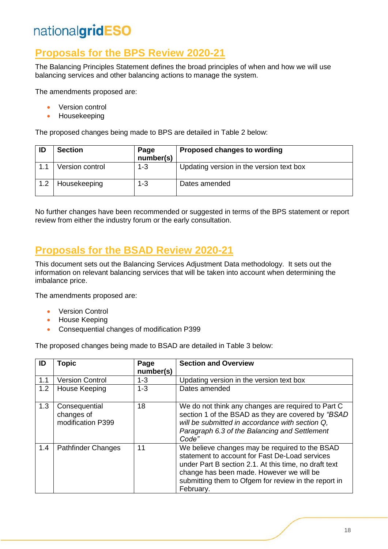### **Proposals for the BPS Review 2020-21**

The Balancing Principles Statement defines the broad principles of when and how we will use balancing services and other balancing actions to manage the system.

The amendments proposed are:

- Version control
- Housekeeping

The proposed changes being made to BPS are detailed in Table 2 below:

| ID  | <b>Section</b>  | Page<br>number(s) | Proposed changes to wording              |
|-----|-----------------|-------------------|------------------------------------------|
|     | Version control | $1 - 3$           | Updating version in the version text box |
| 1.2 | Housekeeping    | $1 - 3$           | Dates amended                            |

No further changes have been recommended or suggested in terms of the BPS statement or report review from either the industry forum or the early consultation.

### **Proposals for the BSAD Review 2020-21**

This document sets out the Balancing Services Adjustment Data methodology. It sets out the information on relevant balancing services that will be taken into account when determining the imbalance price.

The amendments proposed are:

- Version Control
- House Keeping
- Consequential changes of modification P399

The proposed changes being made to BSAD are detailed in Table 3 below:

| ID  | <b>Topic</b>                                     | Page<br>number(s) | <b>Section and Overview</b>                                                                                                                                                                                                                                                |
|-----|--------------------------------------------------|-------------------|----------------------------------------------------------------------------------------------------------------------------------------------------------------------------------------------------------------------------------------------------------------------------|
| 1.1 | <b>Version Control</b>                           | $1 - 3$           | Updating version in the version text box                                                                                                                                                                                                                                   |
| 1.2 | House Keeping                                    | $1 - 3$           | Dates amended                                                                                                                                                                                                                                                              |
| 1.3 | Consequential<br>changes of<br>modification P399 | 18                | We do not think any changes are required to Part C<br>section 1 of the BSAD as they are covered by "BSAD<br>will be submitted in accordance with section Q.<br>Paragraph 6.3 of the Balancing and Settlement<br>Code"                                                      |
| 1.4 | <b>Pathfinder Changes</b>                        | 11                | We believe changes may be required to the BSAD<br>statement to account for Fast De-Load services<br>under Part B section 2.1. At this time, no draft text<br>change has been made. However we will be<br>submitting them to Ofgem for review in the report in<br>February. |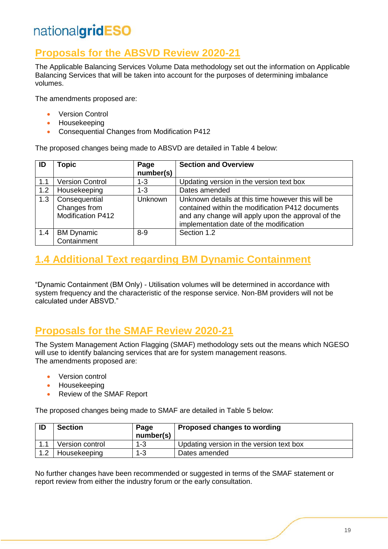### **Proposals for the ABSVD Review 2020-21**

The Applicable Balancing Services Volume Data methodology set out the information on Applicable Balancing Services that will be taken into account for the purposes of determining imbalance volumes.

The amendments proposed are:

- Version Control
- Housekeeping
- Consequential Changes from Modification P412

The proposed changes being made to ABSVD are detailed in Table 4 below:

| ID  | <b>Topic</b>                                              | Page           | <b>Section and Overview</b>                                                                                                                                                                            |
|-----|-----------------------------------------------------------|----------------|--------------------------------------------------------------------------------------------------------------------------------------------------------------------------------------------------------|
|     |                                                           | number(s)      |                                                                                                                                                                                                        |
| 1.1 | <b>Version Control</b>                                    | $1 - 3$        | Updating version in the version text box                                                                                                                                                               |
| 1.2 | Housekeeping                                              | $1 - 3$        | Dates amended                                                                                                                                                                                          |
| 1.3 | Consequential<br>Changes from<br><b>Modification P412</b> | <b>Unknown</b> | Unknown details at this time however this will be<br>contained within the modification P412 documents<br>and any change will apply upon the approval of the<br>implementation date of the modification |
| 1.4 | <b>BM Dynamic</b><br>Containment                          | $8 - 9$        | Section 1.2                                                                                                                                                                                            |

### **1.4 Additional Text regarding BM Dynamic Containment**

"Dynamic Containment (BM Only) - Utilisation volumes will be determined in accordance with system frequency and the characteristic of the response service. Non-BM providers will not be calculated under ABSVD."

### **Proposals for the SMAF Review 2020-21**

The System Management Action Flagging (SMAF) methodology sets out the means which NGESO will use to identify balancing services that are for system management reasons. The amendments proposed are:

- Version control
- Housekeeping
- Review of the SMAF Report

The proposed changes being made to SMAF are detailed in Table 5 below:

| ID          | <b>Section</b>  | Page<br>number(s) | Proposed changes to wording              |
|-------------|-----------------|-------------------|------------------------------------------|
|             | Version control | $1 - 3$           | Updating version in the version text box |
| $1^{\circ}$ | Housekeeping    | 1-3               | Dates amended                            |

No further changes have been recommended or suggested in terms of the SMAF statement or report review from either the industry forum or the early consultation.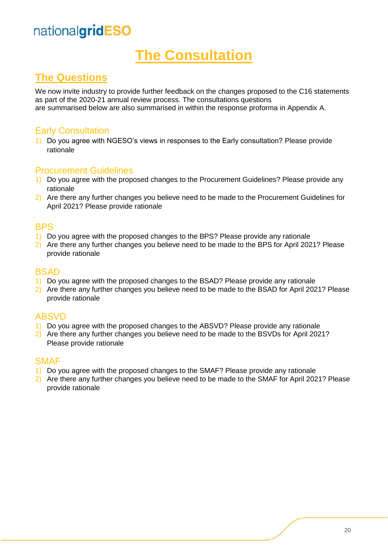## **The Consultation**

### **The Questions**

We now invite industry to provide further feedback on the changes proposed to the C16 statements as part of the 2020-21 annual review process. The consultations questions are summarised below are also summarised in within the response proforma in Appendix A.

#### Early Consultation

1) Do you agree with NGESO's views in responses to the Early consultation? Please provide rationale

#### Procurement Guidelines

- 1) Do you agree with the proposed changes to the Procurement Guidelines? Please provide any rationale
- 2) Are there any further changes you believe need to be made to the Procurement Guidelines for April 2021? Please provide rationale

#### **BPS**

- 1) Do you agree with the proposed changes to the BPS? Please provide any rationale
- 2) Are there any further changes you believe need to be made to the BPS for April 2021? Please provide rationale

#### **BSAD**

- 1) Do you agree with the proposed changes to the BSAD? Please provide any rationale
- 2) Are there any further changes you believe need to be made to the BSAD for April 2021? Please provide rationale

#### ABSVD

- 1) Do you agree with the proposed changes to the ABSVD? Please provide any rationale
- 2) Are there any further changes you believe need to be made to the BSVDs for April 2021? Please provide rationale

#### SMAF

- 1) Do you agree with the proposed changes to the SMAF? Please provide any rationale
- 2) Are there any further changes you believe need to be made to the SMAF for April 2021? Please provide rationale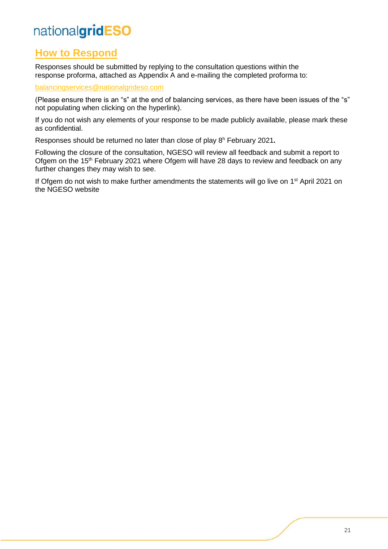### **How to Respond**

Responses should be submitted by replying to the consultation questions within the response proforma, attached as Appendix A and e-mailing the completed proforma to:

[balancingservices@nationalgrideso.com](mailto:balancingservices@nationalgrideso.com)

(Please ensure there is an "s" at the end of balancing services, as there have been issues of the "s" not populating when clicking on the hyperlink).

If you do not wish any elements of your response to be made publicly available, please mark these as confidential.

Responses should be returned no later than close of play 8<sup>h</sup> February 2021**.**

Following the closure of the consultation, NGESO will review all feedback and submit a report to Ofgem on the 15<sup>th</sup> February 2021 where Ofgem will have 28 days to review and feedback on any further changes they may wish to see.

If Ofgem do not wish to make further amendments the statements will go live on 1<sup>st</sup> April 2021 on the NGESO website